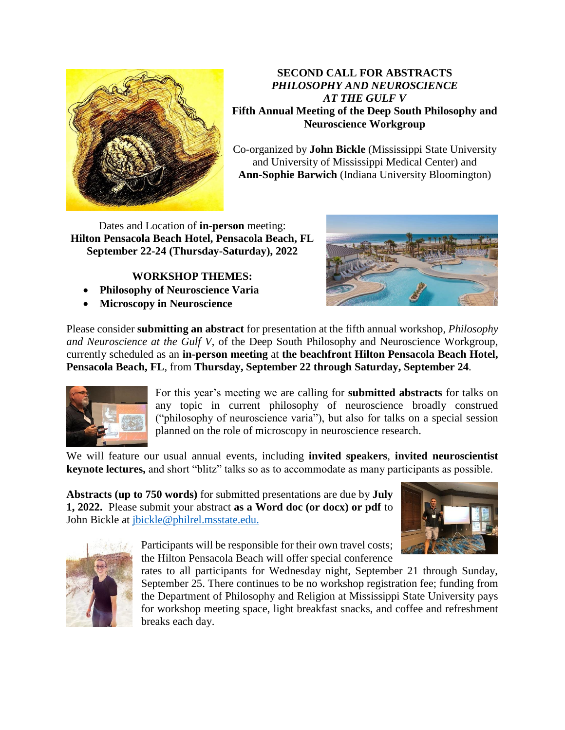

**SECOND CALL FOR ABSTRACTS** *PHILOSOPHY AND NEUROSCIENCE AT THE GULF V* **Fifth Annual Meeting of the Deep South Philosophy and Neuroscience Workgroup**

Co-organized by **John Bickle** (Mississippi State University and University of Mississippi Medical Center) and **Ann-Sophie Barwich** (Indiana University Bloomington)

Dates and Location of **in-person** meeting: **Hilton Pensacola Beach Hotel, Pensacola Beach, FL September 22-24 (Thursday-Saturday), 2022**

## **WORKSHOP THEMES:**

- **Philosophy of Neuroscience Varia**
- **Microscopy in Neuroscience**



Please consider **submitting an abstract** for presentation at the fifth annual workshop, *Philosophy and Neuroscience at the Gulf V*, of the Deep South Philosophy and Neuroscience Workgroup, currently scheduled as an **in-person meeting** at **the beachfront Hilton Pensacola Beach Hotel, Pensacola Beach, FL**, from **Thursday, September 22 through Saturday, September 24**.



For this year's meeting we are calling for **submitted abstracts** for talks on any topic in current philosophy of neuroscience broadly construed ("philosophy of neuroscience varia"), but also for talks on a special session planned on the role of microscopy in neuroscience research.

We will feature our usual annual events, including **invited speakers**, **invited neuroscientist keynote lectures,** and short "blitz" talks so as to accommodate as many participants as possible.

**Abstracts (up to 750 words)** for submitted presentations are due by **July 1, 2022.** Please submit your abstract **as a Word doc (or docx) or pdf** to John Bickle at [jbickle@philrel.msstate.edu.](mailto:jbickle@philrel.msstate.edu)





Participants will be responsible for their own travel costs; the Hilton Pensacola Beach will offer special conference

rates to all participants for Wednesday night, September 21 through Sunday, September 25. There continues to be no workshop registration fee; funding from the Department of Philosophy and Religion at Mississippi State University pays for workshop meeting space, light breakfast snacks, and coffee and refreshment breaks each day.